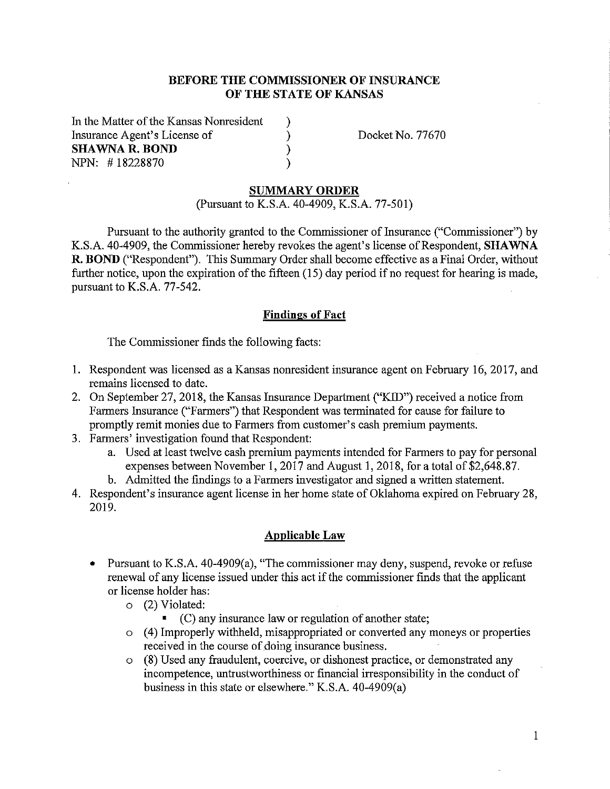## **BEFORE THE COMMISSIONER OF INSURANCE OF THE STATE OF KANSAS**

) ) ) )

In the Matter of the Kansas Nonresident Insurance Agent's License of **SHAWNA R. BOND**  NPN: # 18228870

Docket No. 77670

#### **SUMMARY ORDER**

(Pursuant to K.S.A. 40-4909, K.S.A. 77-501)

Pursuant to the authority granted to the Commissioner of Insurance ("Commissioner") by K.S.A. 40-4909, the Commissioner hereby revokes the agent's license of Respondent, **SHAWNA R. BOND** ("Respondent"). This Summary Order shall become effective as a Final Order, without further notice, upon the expiration of the fifteen (15) day period if no request for hearing is made, pursuant to K.S.A. 77-542.

#### **Findings of Fact**

The Commissioner finds the following facts:

- I. Respondent was licensed as a Kansas nonresident insurance agent on February 16, 2017, and remains licensed to date.
- 2. On September 27, 2018, the Kansas Insurance Department ("KID") received a notice from Farmers Insurance ("Farmers") that Respondent was terminated for cause for failure to promptly remit monies due to Farmers from customer's cash premium payments.
- 3. Farmers' investigation found that Respondent:
	- a. Used at least twelve cash premium payments intended for Farmers to pay for personal expenses between November I, 2017 and August 1, 2018, for a total of \$2,648.87.
	- b. Admitted the findings to a Farmers investigator and signed a written statement.
- 4. Respondent's insurance agent license in her home state of Oklahoma expired on February 28, 2019.

#### **Applicable Law**

- Pursuant to K.S.A. 40-4909(a), "The commissioner may deny, suspend, revoke or refuse renewal of any license issued under this act if the commissioner finds that the applicant or license holder has:
	- o (2) Violated:
		- $\bullet$  (C) any insurance law or regulation of another state;
	- o ( 4) Improperly withheld, misappropriated or converted any moneys or properties received in the course of doing insurance business.
	- o (8) Used any fraudulent, coercive, or dishonest practice, or demonstrated any incompetence, untrustworthiness or financial irresponsibility in the conduct of business in this state or elsewhere." K.S.A. 40-4909(a)

1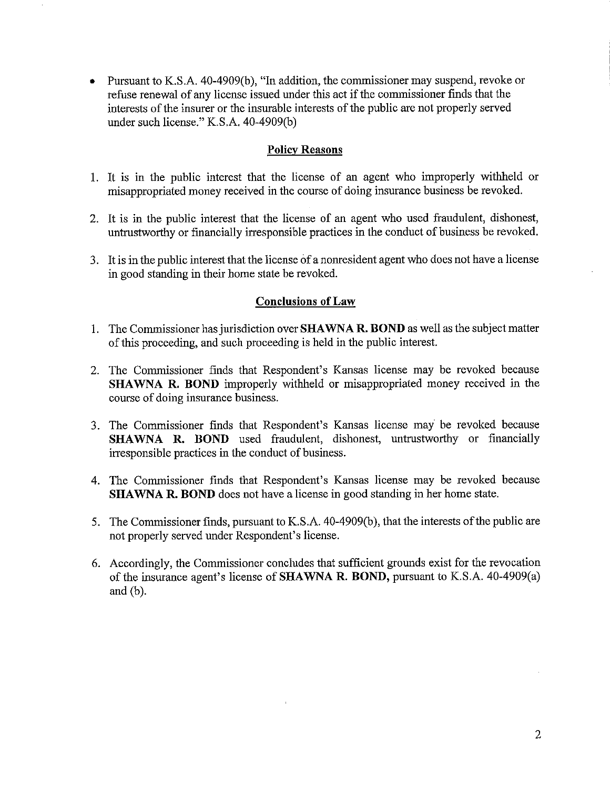Pursuant to K.S.A. 40-4909(b), "In addition, the commissioner may suspend, revoke or refuse renewal of any license issued under this act if the conunissioner finds that the interests of the insurer or the insurable interests of the public are not properly served under such license." K.S.A. 40-4909(b)

## **Policy Reasons**

- 1. It is in the public interest that the license of an agent who improperly withheld or misappropriated money received in the course of doing insurance business be revoked.
- 2. It is in the public interest that the license of an agent who used fraudulent, dishonest, untrustworthy or financially irresponsible practices in the conduct of business be revoked.
- 3. It is in the public interest that the license of a nonresident agent who does not have a license in good standing in their home state be revoked.

## **Conclusions of Law**

- 1. The Conunissioner has jurisdiction over **SHAWNA R. BOND** as well as the subject matter of this proceeding, and such proceeding is held in the public interest.
- 2. The Commissioner finds that Respondent's Kansas license may be revoked because **SHAWNA R. BOND** improperly withheld or misappropriated money received in the course of doing insurance business.
- 3. The Commissioner finds that Respondent's Kansas license may be revoked because **SHAWNA R. BOND** used fraudulent, dishonest, untrustworthy or financially irresponsible practices in the conduct of business.
- 4. The Conunissioner finds that Respondent's Kansas license may be revoked because **SHAWNA R. BOND** does not have a license in good standing in her home state.
- 5. The Commissioner finds, pursuant to K.S.A. 40-4909(b), that the interests of the public are not properly served under Respondent's license.
- 6. Accordingly, the Conunissioner concludes that sufficient grounds exist for the revocation of the insurance agent's license of **SHAWNA R. BOND,** pursuant to K.S.A. 40-4909(a) and (b).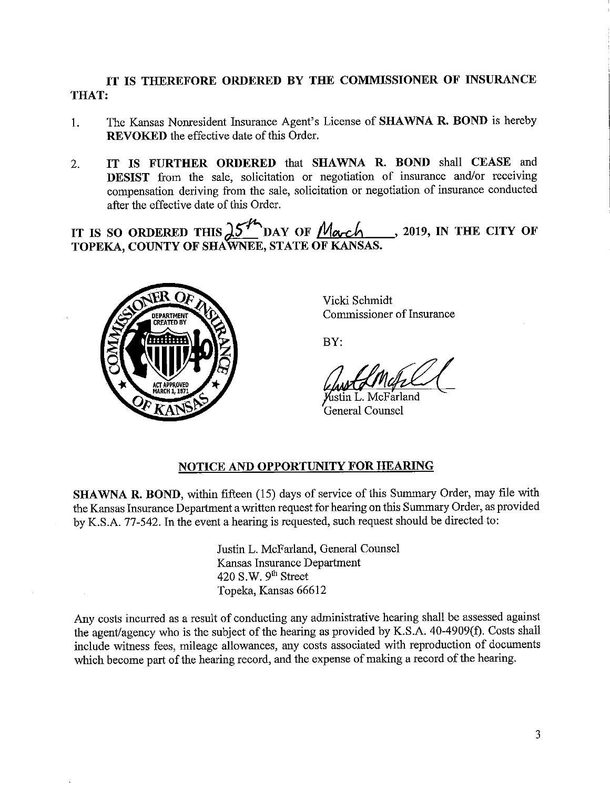# **IT IS THEREFORE ORDERED BY THE COMMISSIONER OF INSURANCE THAT:**

- 1. The Kansas Nonresident Insurance Agent's License of **SHAWNA R. BOND** is hereby **REVOKED** the effective date of this Order.
- 2. **IT IS FURTHER ORDERED** that **SHAWNA R. BOND** shall **CEASE** and **DESIST** from the sale, solicitation or negotiation of insurance and/or receiving compensation deriving from the sale, solicitation or negotiation of insurance conducted after the effective date of this Order.

after the effective date of this Order.<br> **IT IS SO ORDERED THIS**  $\frac{\partial^{\mathcal{L}} \mathcal{L}}{\partial \mathbf{A}^{\mathcal{L}}}$  **DAY OF**  $M_{\alpha\alpha\beta}$ **, 2019, IN THE CITY OF TOPEKA, COUNTY OF SHAWNEE, STATE OF KANSAS.** 



Vicki Schmidt Commissioner of Insurance

BY:

ห์เstin L. McFarland General Counsel

## **NOTICE AND OPPORTUNITY FOR HEARING**

**SHAWNA R. BOND,** within fifteen (15) days of service of this Summary Order, may file with the Kansas Insurance Department a written request for hearing on this Summary Order, as provided by K.S.A. 77-542. In the event a hearing is requested, such request should be directed to:

> Justin L. McFarland, General Counsel Kansas Insurance Department 420 S.W.  $9<sup>th</sup>$  Street Topeka, Kansas 66612

Any costs incurred as a result of conducting any administrative hearing shall be assessed against the agent/agency who is the subject of the hearing as provided by K.S.A. 40-4909(f). Costs shall include witness fees, mileage allowances, any costs associated with reproduction of documents which become part of the hearing record, and the expense of making a record of the hearing.